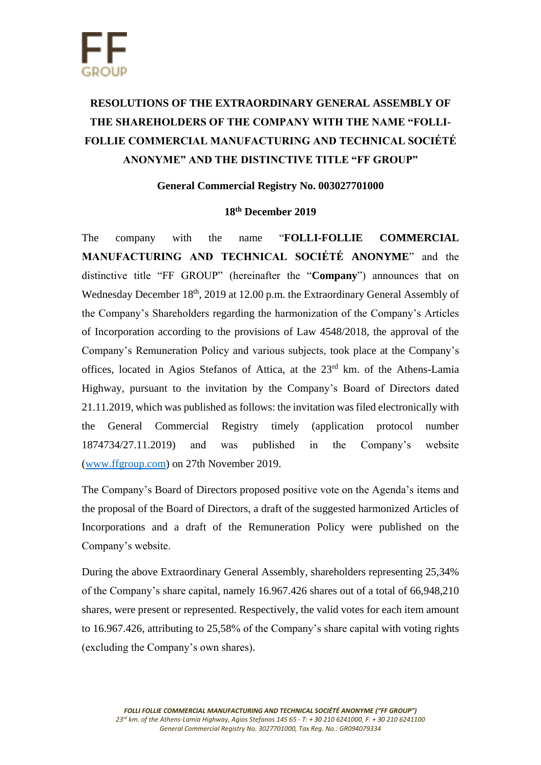# **RESOLUTIONS OF THE EXTRAORDINARY GENERAL ASSEMBLY OF THE SHAREHOLDERS OF THE COMPANY WITH THE NAME "FOLLI-FOLLIE COMMERCIAL MANUFACTURING AND TECHNICAL SOCIÉTÉ ANONYME" AND THE DISTINCTIVE TITLE "FF GROUP"**

## **General Commercial Registry No. 003027701000**

### **18th December 2019**

The company with the name "**FOLLI-FOLLIE COMMERCIAL MANUFACTURING AND TECHNICAL SOCIÉTÉ ANONYME**" and the distinctive title "FF GROUP" (hereinafter the "**Company**") announces that on Wednesday December 18<sup>th</sup>, 2019 at 12.00 p.m. the Extraordinary General Assembly of the Company's Shareholders regarding the harmonization of the Company's Articles of Incorporation according to the provisions of Law 4548/2018, the approval of the Company's Remuneration Policy and various subjects, took place at the Company's offices, located in Agios Stefanos of Attica, at the 23rd km. of the Athens-Lamia Highway, pursuant to the invitation by the Company's Board of Directors dated 21.11.2019, which was published as follows: the invitation was filed electronically with the General Commercial Registry timely (application protocol number 1874734/27.11.2019) and was published in the Company's website [\(www.ffgroup.com\)](http://www.ffgroup.com/) on 27th November 2019.

The Company's Board of Directors proposed positive vote on the Agenda's items and the proposal of the Board of Directors, a draft of the suggested harmonized Articles of Incorporations and a draft of the Remuneration Policy were published on the Company's website.

During the above Extraordinary General Assembly, shareholders representing 25,34% of the Company's share capital, namely 16.967.426 shares out of a total of 66,948,210 shares, were present or represented. Respectively, the valid votes for each item amount to 16.967.426, attributing to 25,58% of the Company's share capital with voting rights (excluding the Company's own shares).